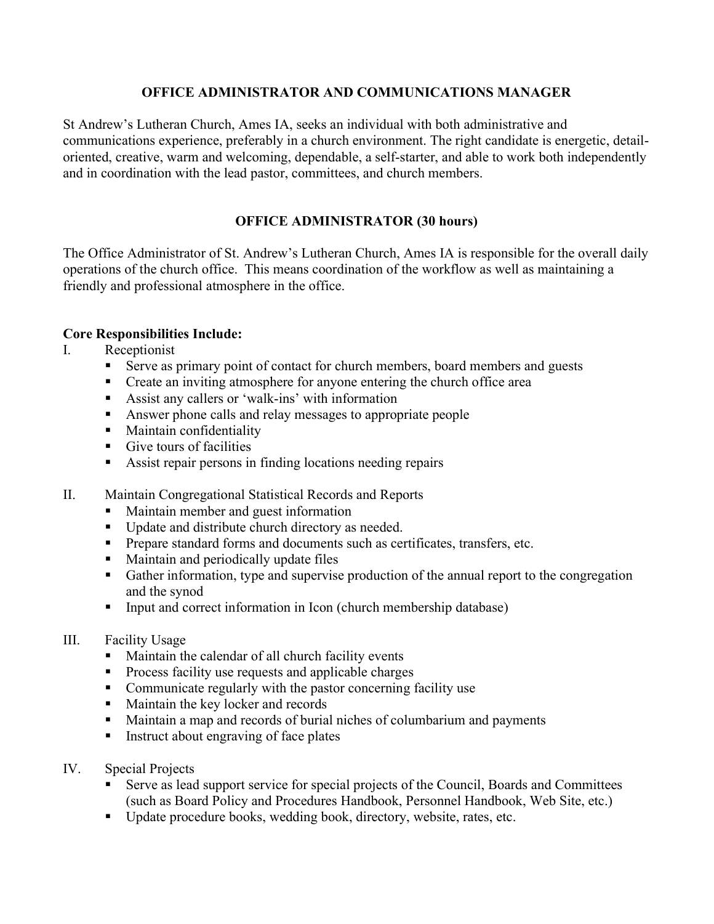## OFFICE ADMINISTRATOR AND COMMUNICATIONS MANAGER

St Andrew's Lutheran Church, Ames IA, seeks an individual with both administrative and communications experience, preferably in a church environment. The right candidate is energetic, detailoriented, creative, warm and welcoming, dependable, a self-starter, and able to work both independently and in coordination with the lead pastor, committees, and church members.

# OFFICE ADMINISTRATOR (30 hours)

The Office Administrator of St. Andrew's Lutheran Church, Ames IA is responsible for the overall daily operations of the church office. This means coordination of the workflow as well as maintaining a friendly and professional atmosphere in the office.

## Core Responsibilities Include:

## I. Receptionist

- Serve as primary point of contact for church members, board members and guests
- Create an inviting atmosphere for anyone entering the church office area
- Assist any callers or 'walk-ins' with information
- Answer phone calls and relay messages to appropriate people
- **Maintain confidentiality**
- $\blacksquare$  Give tours of facilities
- Assist repair persons in finding locations needing repairs
- II. Maintain Congregational Statistical Records and Reports
	- Maintain member and guest information
	- Update and distribute church directory as needed.
	- **Prepare standard forms and documents such as certificates, transfers, etc.**
	- Maintain and periodically update files
	- Gather information, type and supervise production of the annual report to the congregation and the synod
	- Input and correct information in Icon (church membership database)

### III. Facility Usage

- **Maintain the calendar of all church facility events**
- **Process facility use requests and applicable charges**
- Communicate regularly with the pastor concerning facility use
- Maintain the key locker and records
- Maintain a map and records of burial niches of columbarium and payments
- Instruct about engraving of face plates
- IV. Special Projects
	- Serve as lead support service for special projects of the Council, Boards and Committees (such as Board Policy and Procedures Handbook, Personnel Handbook, Web Site, etc.)
	- Update procedure books, wedding book, directory, website, rates, etc.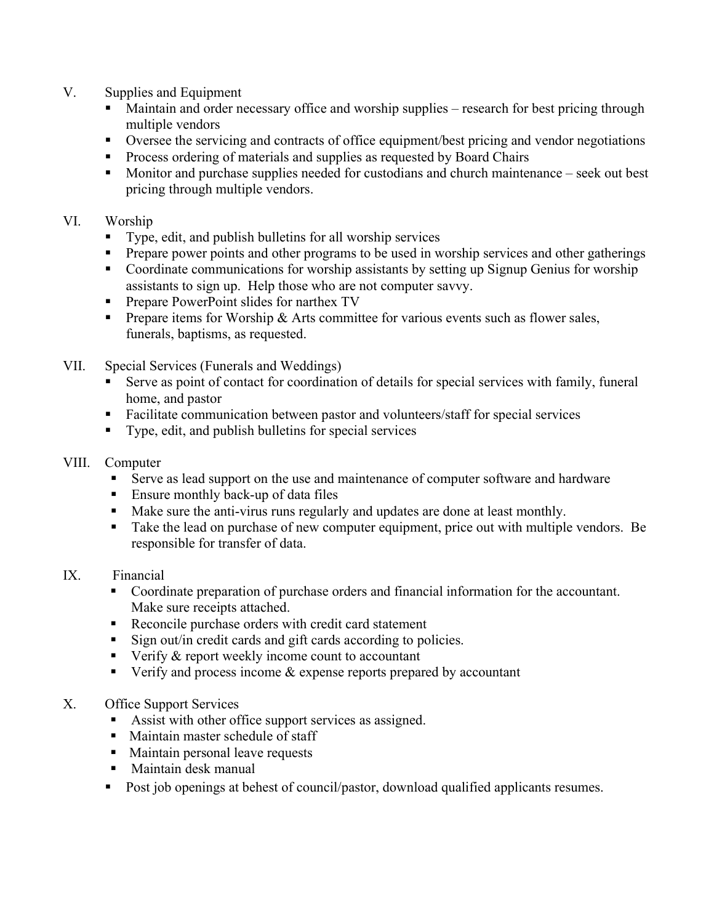- V. Supplies and Equipment
	- Maintain and order necessary office and worship supplies research for best pricing through multiple vendors
	- Oversee the servicing and contracts of office equipment/best pricing and vendor negotiations
	- **Process ordering of materials and supplies as requested by Board Chairs**
	- **Monitor and purchase supplies needed for custodians and church maintenance** seek out best pricing through multiple vendors.

## VI. Worship

- Type, edit, and publish bulletins for all worship services
- **Prepare power points and other programs to be used in worship services and other gatherings**
- Coordinate communications for worship assistants by setting up Signup Genius for worship assistants to sign up. Help those who are not computer savvy.
- **Prepare PowerPoint slides for narthex TV**
- **Prepare items for Worship & Arts committee for various events such as flower sales,** funerals, baptisms, as requested.
- VII. Special Services (Funerals and Weddings)
	- Serve as point of contact for coordination of details for special services with family, funeral home, and pastor
	- Facilitate communication between pastor and volunteers/staff for special services
	- Type, edit, and publish bulletins for special services
- VIII. Computer
	- Serve as lead support on the use and maintenance of computer software and hardware
	- Ensure monthly back-up of data files
	- Make sure the anti-virus runs regularly and updates are done at least monthly.
	- Take the lead on purchase of new computer equipment, price out with multiple vendors. Be responsible for transfer of data.

## IX. Financial

- Coordinate preparation of purchase orders and financial information for the accountant. Make sure receipts attached.
- Reconcile purchase orders with credit card statement
- Sign out/in credit cards and gift cards according to policies.
- Verify  $\&$  report weekly income count to accountant
- Verify and process income  $&$  expense reports prepared by accountant

## X. Office Support Services

- Assist with other office support services as assigned.
- Maintain master schedule of staff
- Maintain personal leave requests
- Maintain desk manual
- Post job openings at behest of council/pastor, download qualified applicants resumes.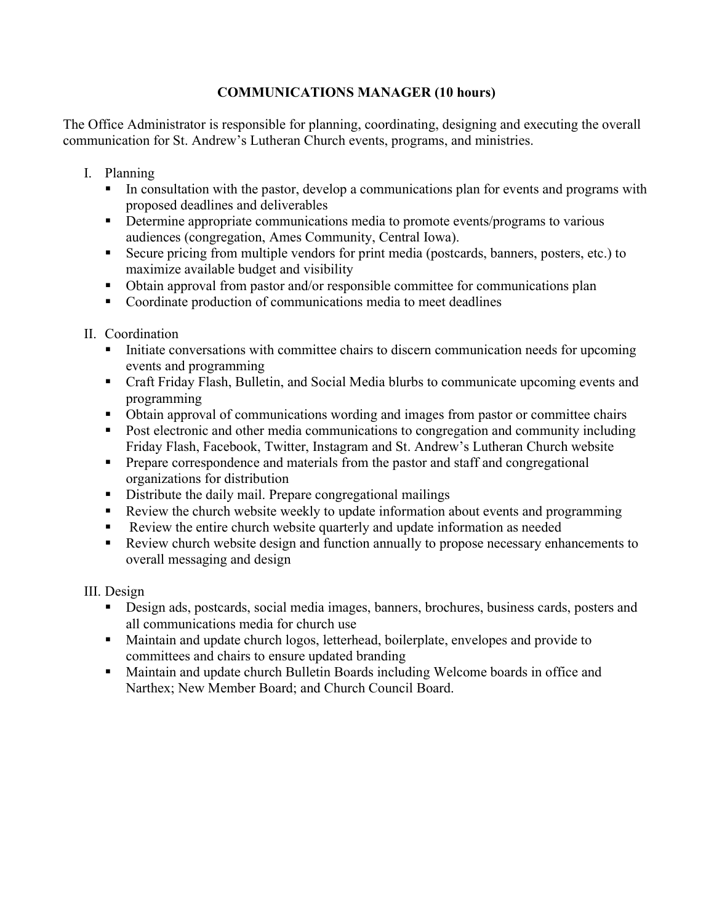# COMMUNICATIONS MANAGER (10 hours)

The Office Administrator is responsible for planning, coordinating, designing and executing the overall communication for St. Andrew's Lutheran Church events, programs, and ministries.

- I. Planning
	- In consultation with the pastor, develop a communications plan for events and programs with proposed deadlines and deliverables
	- Determine appropriate communications media to promote events/programs to various audiences (congregation, Ames Community, Central Iowa).
	- Secure pricing from multiple vendors for print media (postcards, banners, posters, etc.) to maximize available budget and visibility
	- Obtain approval from pastor and/or responsible committee for communications plan
	- Coordinate production of communications media to meet deadlines
- II. Coordination
	- Initiate conversations with committee chairs to discern communication needs for upcoming events and programming
	- Craft Friday Flash, Bulletin, and Social Media blurbs to communicate upcoming events and programming
	- Obtain approval of communications wording and images from pastor or committee chairs
	- Post electronic and other media communications to congregation and community including Friday Flash, Facebook, Twitter, Instagram and St. Andrew's Lutheran Church website
	- **Prepare correspondence and materials from the pastor and staff and congregational** organizations for distribution
	- Distribute the daily mail. Prepare congregational mailings
	- Review the church website weekly to update information about events and programming
	- Review the entire church website quarterly and update information as needed
	- Review church website design and function annually to propose necessary enhancements to overall messaging and design

III. Design

- Design ads, postcards, social media images, banners, brochures, business cards, posters and all communications media for church use
- Maintain and update church logos, letterhead, boilerplate, envelopes and provide to committees and chairs to ensure updated branding
- Maintain and update church Bulletin Boards including Welcome boards in office and Narthex; New Member Board; and Church Council Board.